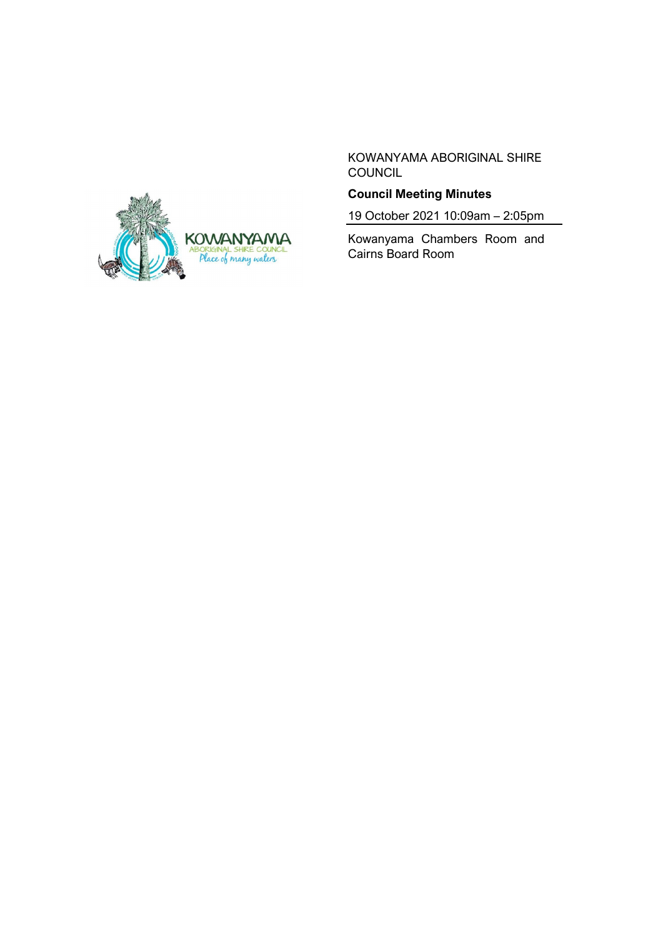KOWANYAMA ABORIGINAL SHIRE COUNCIL



19 October 2021 10:09am – 2:05pm

Kowanyama Chambers Room and Cairns Board Room

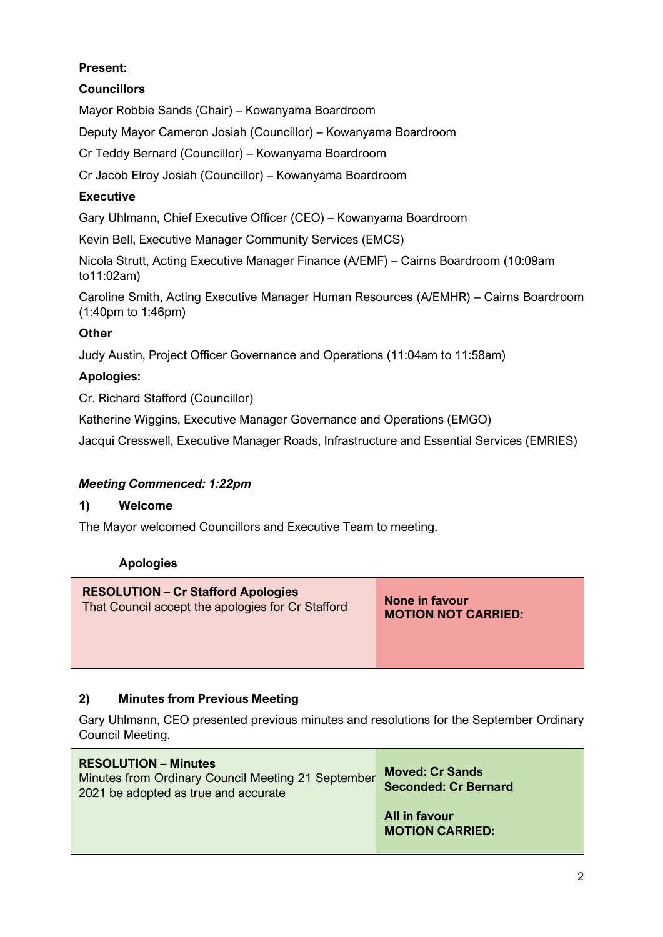# **Present:**

# **Councillors**

Mayor Robbie Sands (Chair) – Kowanyama Boardroom

Deputy Mayor Cameron Josiah (Councillor) – Kowanyama Boardroom

Cr Teddy Bernard (Councillor) – Kowanyama Boardroom

Cr Jacob Elroy Josiah (Councillor) – Kowanyama Boardroom

# **Executive**

Gary Uhlmann, Chief Executive Officer (CEO) – Kowanyama Boardroom

Kevin Bell, Executive Manager Community Services (EMCS)

Nicola Strutt, Acting Executive Manager Finance (A/EMF) – Cairns Boardroom (10:09am to11:02am)

Caroline Smith, Acting Executive Manager Human Resources (A/EMHR) – Cairns Boardroom (1:40pm to 1:46pm)

# **Other**

Judy Austin, Project Officer Governance and Operations (11:04am to 11:58am)

# **Apologies:**

Cr. Richard Stafford (Councillor)

Katherine Wiggins, Executive Manager Governance and Operations (EMGO)

Jacqui Cresswell, Executive Manager Roads, Infrastructure and Essential Services (EMRIES)

### *Meeting Commenced: 1:22pm*

### **1) Welcome**

The Mayor welcomed Councillors and Executive Team to meeting.

### **Apologies**

# **2) Minutes from Previous Meeting**

Gary Uhlmann, CEO presented previous minutes and resolutions for the September Ordinary Council Meeting.

| <b>RESOLUTION – Minutes</b><br>Minutes from Ordinary Council Meeting 21 September<br>2021 be adopted as true and accurate | <b>Moved: Cr Sands</b><br><b>Seconded: Cr Bernard</b> |
|---------------------------------------------------------------------------------------------------------------------------|-------------------------------------------------------|
|                                                                                                                           | All in favour<br><b>MOTION CARRIED:</b>               |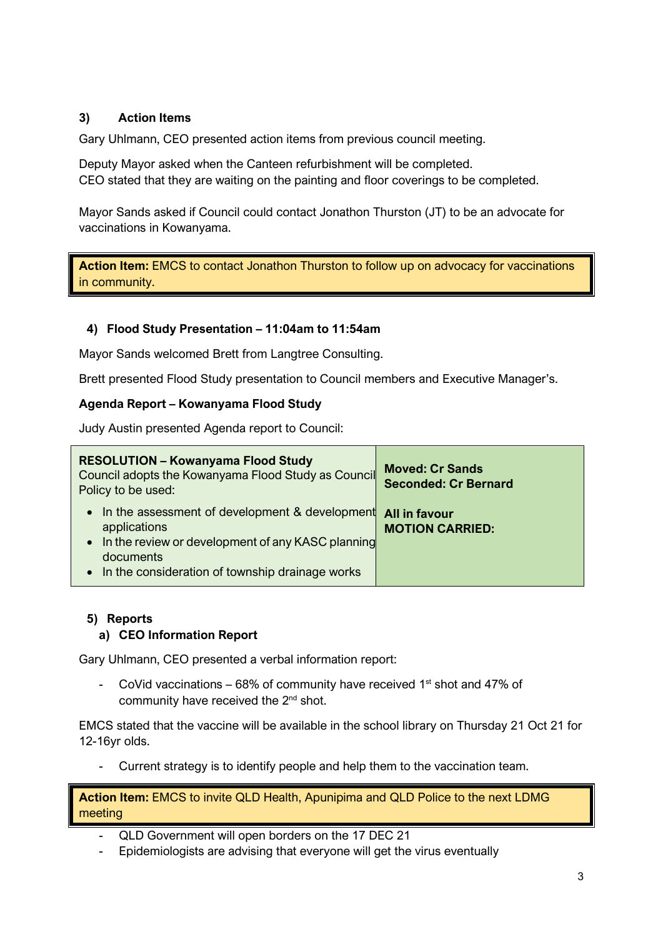# **3) Action Items**

Gary Uhlmann, CEO presented action items from previous council meeting.

Deputy Mayor asked when the Canteen refurbishment will be completed. CEO stated that they are waiting on the painting and floor coverings to be completed.

Mayor Sands asked if Council could contact Jonathon Thurston (JT) to be an advocate for vaccinations in Kowanyama.

**Action Item:** EMCS to contact Jonathon Thurston to follow up on advocacy for vaccinations in community.

# **4) Flood Study Presentation – 11:04am to 11:54am**

Mayor Sands welcomed Brett from Langtree Consulting.

Brett presented Flood Study presentation to Council members and Executive Manager's.

#### **Agenda Report – Kowanyama Flood Study**

Judy Austin presented Agenda report to Council:

| <b>RESOLUTION - Kowanyama Flood Study</b><br>Council adopts the Kowanyama Flood Study as Council<br>Policy to be used:                                                                               | <b>Moved: Cr Sands</b><br><b>Seconded: Cr Bernard</b> |
|------------------------------------------------------------------------------------------------------------------------------------------------------------------------------------------------------|-------------------------------------------------------|
| In the assessment of development & development<br>$\bullet$<br>applications<br>• In the review or development of any KASC planning<br>documents<br>• In the consideration of township drainage works | <b>All in favour</b><br><b>MOTION CARRIED:</b>        |

### **5) Reports**

### **a) CEO Information Report**

Gary Uhlmann, CEO presented a verbal information report:

- CoVid vaccinations  $-68\%$  of community have received 1<sup>st</sup> shot and 47% of community have received the 2<sup>nd</sup> shot.

EMCS stated that the vaccine will be available in the school library on Thursday 21 Oct 21 for 12-16yr olds.

- Current strategy is to identify people and help them to the vaccination team.

**Action Item:** EMCS to invite QLD Health, Apunipima and QLD Police to the next LDMG meeting

- QLD Government will open borders on the 17 DEC 21
- Epidemiologists are advising that everyone will get the virus eventually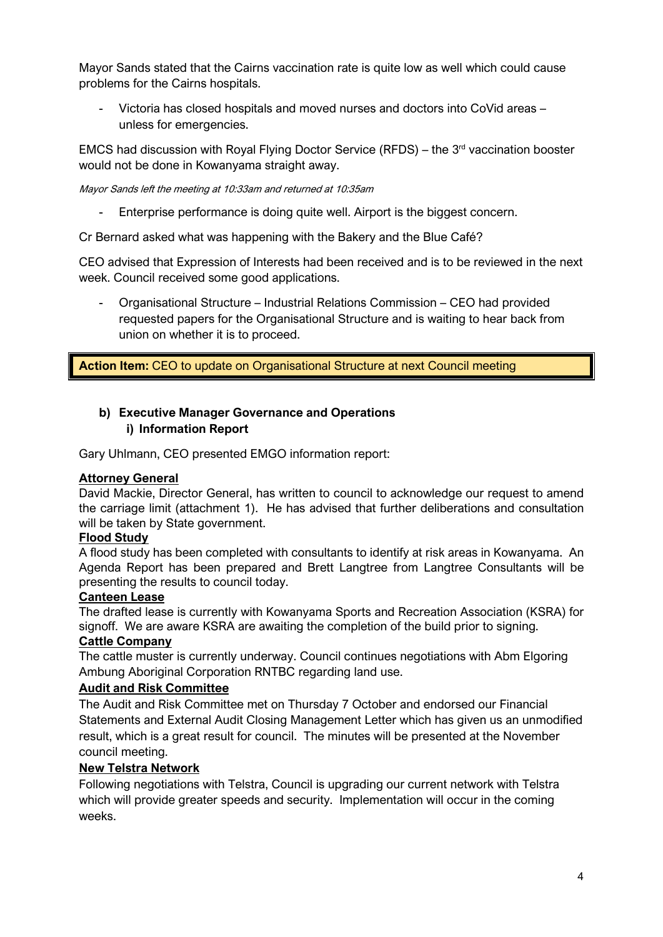Mayor Sands stated that the Cairns vaccination rate is quite low as well which could cause problems for the Cairns hospitals.

- Victoria has closed hospitals and moved nurses and doctors into CoVid areas – unless for emergencies.

EMCS had discussion with Royal Flying Doctor Service (RFDS) – the  $3<sup>rd</sup>$  vaccination booster would not be done in Kowanyama straight away.

Mayor Sands left the meeting at 10:33am and returned at 10:35am

- Enterprise performance is doing quite well. Airport is the biggest concern.

Cr Bernard asked what was happening with the Bakery and the Blue Café?

CEO advised that Expression of Interests had been received and is to be reviewed in the next week. Council received some good applications.

- Organisational Structure – Industrial Relations Commission – CEO had provided requested papers for the Organisational Structure and is waiting to hear back from union on whether it is to proceed.

**Action Item:** CEO to update on Organisational Structure at next Council meeting

# **b) Executive Manager Governance and Operations i) Information Report**

Gary Uhlmann, CEO presented EMGO information report:

### **Attorney General**

David Mackie, Director General, has written to council to acknowledge our request to amend the carriage limit (attachment 1). He has advised that further deliberations and consultation will be taken by State government.

#### **Flood Study**

A flood study has been completed with consultants to identify at risk areas in Kowanyama. An Agenda Report has been prepared and Brett Langtree from Langtree Consultants will be presenting the results to council today.

#### **Canteen Lease**

The drafted lease is currently with Kowanyama Sports and Recreation Association (KSRA) for signoff. We are aware KSRA are awaiting the completion of the build prior to signing.

#### **Cattle Company**

The cattle muster is currently underway. Council continues negotiations with Abm Elgoring Ambung Aboriginal Corporation RNTBC regarding land use.

#### **Audit and Risk Committee**

The Audit and Risk Committee met on Thursday 7 October and endorsed our Financial Statements and External Audit Closing Management Letter which has given us an unmodified result, which is a great result for council. The minutes will be presented at the November council meeting.

### **New Telstra Network**

Following negotiations with Telstra, Council is upgrading our current network with Telstra which will provide greater speeds and security. Implementation will occur in the coming weeks.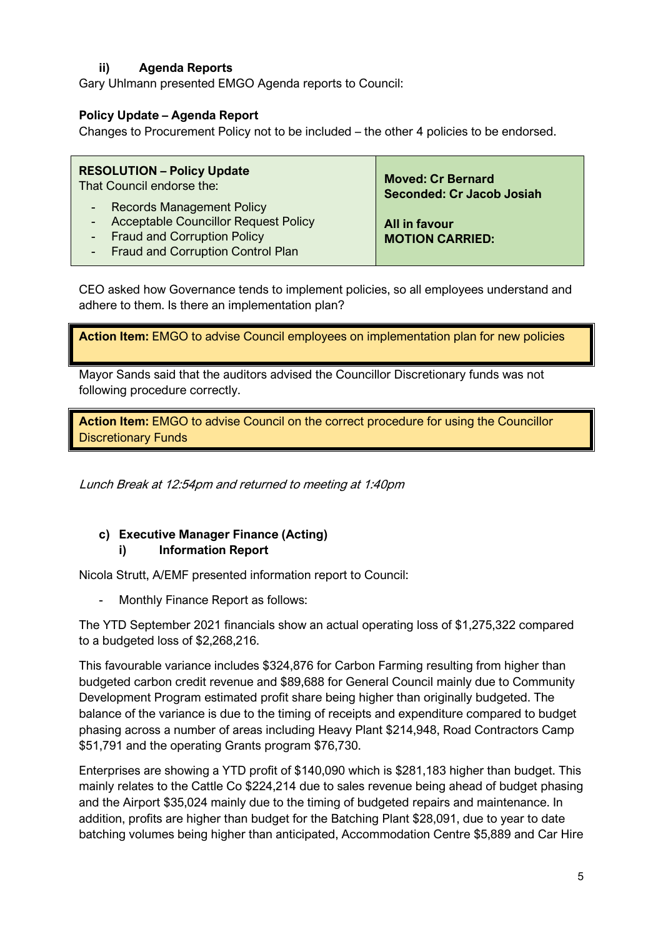# **ii) Agenda Reports**

Gary Uhlmann presented EMGO Agenda reports to Council:

#### **Policy Update – Agenda Report**

Changes to Procurement Policy not to be included – the other 4 policies to be endorsed.

| <b>RESOLUTION - Policy Update</b>                                                                                                             | <b>Moved: Cr Bernard</b>                |
|-----------------------------------------------------------------------------------------------------------------------------------------------|-----------------------------------------|
| That Council endorse the:                                                                                                                     | <b>Seconded: Cr Jacob Josiah</b>        |
| - Records Management Policy<br>- Acceptable Councillor Request Policy<br>- Fraud and Corruption Policy<br>- Fraud and Corruption Control Plan | All in favour<br><b>MOTION CARRIED:</b> |

CEO asked how Governance tends to implement policies, so all employees understand and adhere to them. Is there an implementation plan?

**Action Item:** EMGO to advise Council employees on implementation plan for new policies

Mayor Sands said that the auditors advised the Councillor Discretionary funds was not following procedure correctly.

**Action Item:** EMGO to advise Council on the correct procedure for using the Councillor Discretionary Funds

Lunch Break at 12:54pm and returned to meeting at 1:40pm

### **c) Executive Manager Finance (Acting) i) Information Report**

Nicola Strutt, A/EMF presented information report to Council:

- Monthly Finance Report as follows:

The YTD September 2021 financials show an actual operating loss of \$1,275,322 compared to a budgeted loss of \$2,268,216.

This favourable variance includes \$324,876 for Carbon Farming resulting from higher than budgeted carbon credit revenue and \$89,688 for General Council mainly due to Community Development Program estimated profit share being higher than originally budgeted. The balance of the variance is due to the timing of receipts and expenditure compared to budget phasing across a number of areas including Heavy Plant \$214,948, Road Contractors Camp \$51,791 and the operating Grants program \$76,730.

Enterprises are showing a YTD profit of \$140,090 which is \$281,183 higher than budget. This mainly relates to the Cattle Co \$224,214 due to sales revenue being ahead of budget phasing and the Airport \$35,024 mainly due to the timing of budgeted repairs and maintenance. In addition, profits are higher than budget for the Batching Plant \$28,091, due to year to date batching volumes being higher than anticipated, Accommodation Centre \$5,889 and Car Hire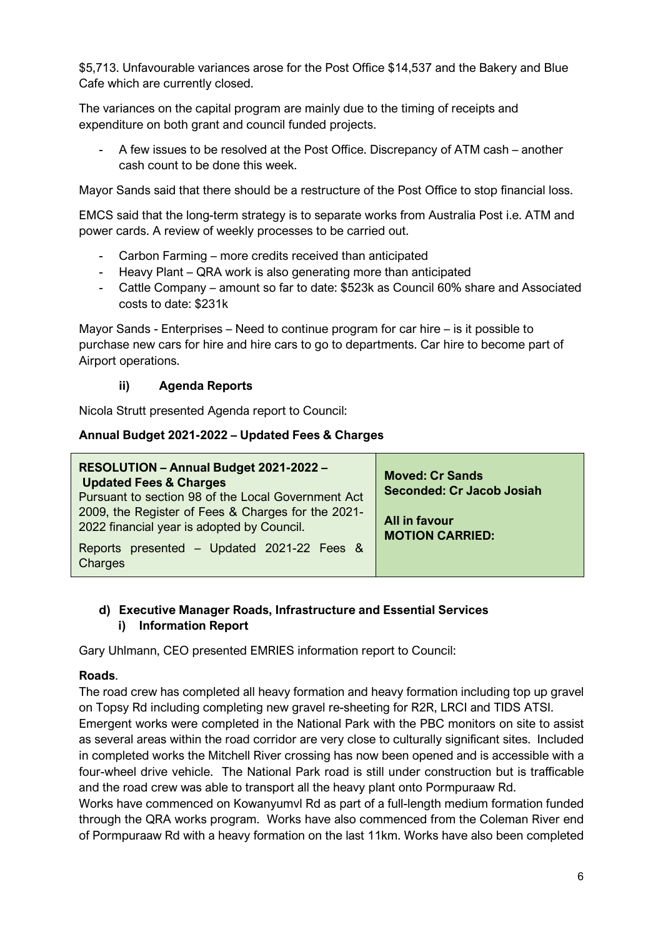\$5,713. Unfavourable variances arose for the Post Office \$14,537 and the Bakery and Blue Cafe which are currently closed.

The variances on the capital program are mainly due to the timing of receipts and expenditure on both grant and council funded projects.

- A few issues to be resolved at the Post Office. Discrepancy of ATM cash – another cash count to be done this week.

Mayor Sands said that there should be a restructure of the Post Office to stop financial loss.

EMCS said that the long-term strategy is to separate works from Australia Post i.e. ATM and power cards. A review of weekly processes to be carried out.

- Carbon Farming more credits received than anticipated
- Heavy Plant QRA work is also generating more than anticipated
- Cattle Company amount so far to date: \$523k as Council 60% share and Associated costs to date: \$231k

Mayor Sands - Enterprises – Need to continue program for car hire – is it possible to purchase new cars for hire and hire cars to go to departments. Car hire to become part of Airport operations.

#### **ii) Agenda Reports**

Nicola Strutt presented Agenda report to Council:

#### **Annual Budget 2021-2022 – Updated Fees & Charges**

| RESOLUTION - Annual Budget 2021-2022 -<br><b>Updated Fees &amp; Charges</b><br>Pursuant to section 98 of the Local Government Act | <b>Moved: Cr Sands</b><br><b>Seconded: Cr Jacob Josiah</b> |
|-----------------------------------------------------------------------------------------------------------------------------------|------------------------------------------------------------|
| 2009, the Register of Fees & Charges for the 2021-<br>2022 financial year is adopted by Council.                                  | All in favour<br><b>MOTION CARRIED:</b>                    |
| Reports presented – Updated 2021-22 Fees &<br>Charges                                                                             |                                                            |

#### **d) Executive Manager Roads, Infrastructure and Essential Services i) Information Report**

Gary Uhlmann, CEO presented EMRIES information report to Council:

#### **Roads**.

The road crew has completed all heavy formation and heavy formation including top up gravel on Topsy Rd including completing new gravel re-sheeting for R2R, LRCI and TIDS ATSI.

Emergent works were completed in the National Park with the PBC monitors on site to assist as several areas within the road corridor are very close to culturally significant sites. Included in completed works the Mitchell River crossing has now been opened and is accessible with a four-wheel drive vehicle. The National Park road is still under construction but is trafficable and the road crew was able to transport all the heavy plant onto Pormpuraaw Rd.

Works have commenced on Kowanyumvl Rd as part of a full-length medium formation funded through the QRA works program. Works have also commenced from the Coleman River end of Pormpuraaw Rd with a heavy formation on the last 11km. Works have also been completed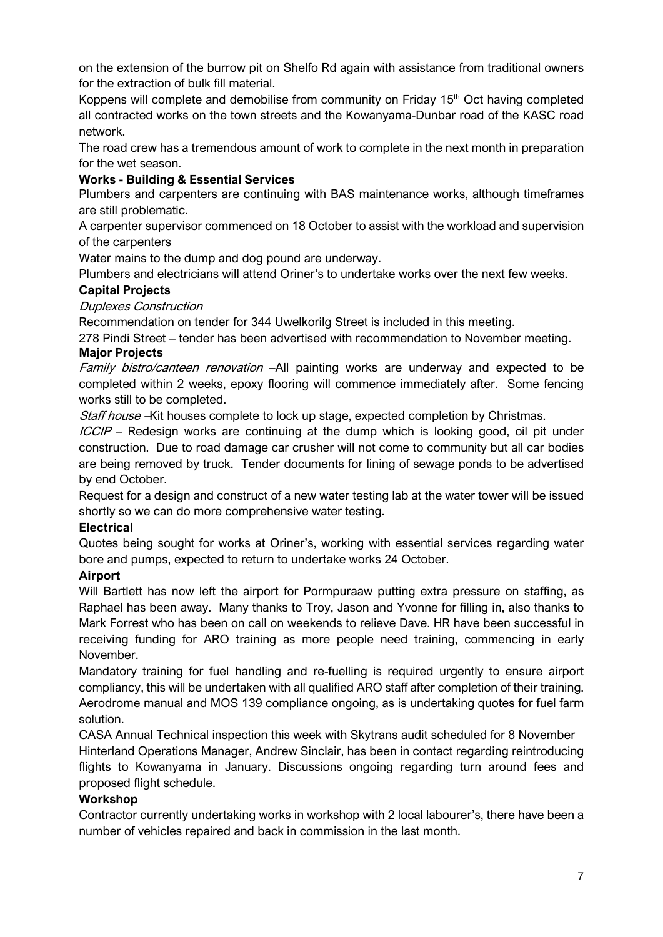on the extension of the burrow pit on Shelfo Rd again with assistance from traditional owners for the extraction of bulk fill material.

Koppens will complete and demobilise from community on Friday  $15<sup>th</sup>$  Oct having completed all contracted works on the town streets and the Kowanyama-Dunbar road of the KASC road network.

The road crew has a tremendous amount of work to complete in the next month in preparation for the wet season.

## **Works - Building & Essential Services**

Plumbers and carpenters are continuing with BAS maintenance works, although timeframes are still problematic.

A carpenter supervisor commenced on 18 October to assist with the workload and supervision of the carpenters

Water mains to the dump and dog pound are underway.

Plumbers and electricians will attend Oriner's to undertake works over the next few weeks.

### **Capital Projects**

Duplexes Construction

Recommendation on tender for 344 Uwelkorilg Street is included in this meeting.

278 Pindi Street – tender has been advertised with recommendation to November meeting. **Major Projects**

Family bistro/canteen renovation –All painting works are underway and expected to be completed within 2 weeks, epoxy flooring will commence immediately after. Some fencing works still to be completed.

Staff house –Kit houses complete to lock up stage, expected completion by Christmas.

ICCIP – Redesign works are continuing at the dump which is looking good, oil pit under construction. Due to road damage car crusher will not come to community but all car bodies are being removed by truck. Tender documents for lining of sewage ponds to be advertised by end October.

Request for a design and construct of a new water testing lab at the water tower will be issued shortly so we can do more comprehensive water testing.

### **Electrical**

Quotes being sought for works at Oriner's, working with essential services regarding water bore and pumps, expected to return to undertake works 24 October.

### **Airport**

Will Bartlett has now left the airport for Pormpuraaw putting extra pressure on staffing, as Raphael has been away. Many thanks to Troy, Jason and Yvonne for filling in, also thanks to Mark Forrest who has been on call on weekends to relieve Dave. HR have been successful in receiving funding for ARO training as more people need training, commencing in early November.

Mandatory training for fuel handling and re-fuelling is required urgently to ensure airport compliancy, this will be undertaken with all qualified ARO staff after completion of their training. Aerodrome manual and MOS 139 compliance ongoing, as is undertaking quotes for fuel farm solution.

CASA Annual Technical inspection this week with Skytrans audit scheduled for 8 November Hinterland Operations Manager, Andrew Sinclair, has been in contact regarding reintroducing flights to Kowanyama in January. Discussions ongoing regarding turn around fees and proposed flight schedule.

### **Workshop**

Contractor currently undertaking works in workshop with 2 local labourer's, there have been a number of vehicles repaired and back in commission in the last month.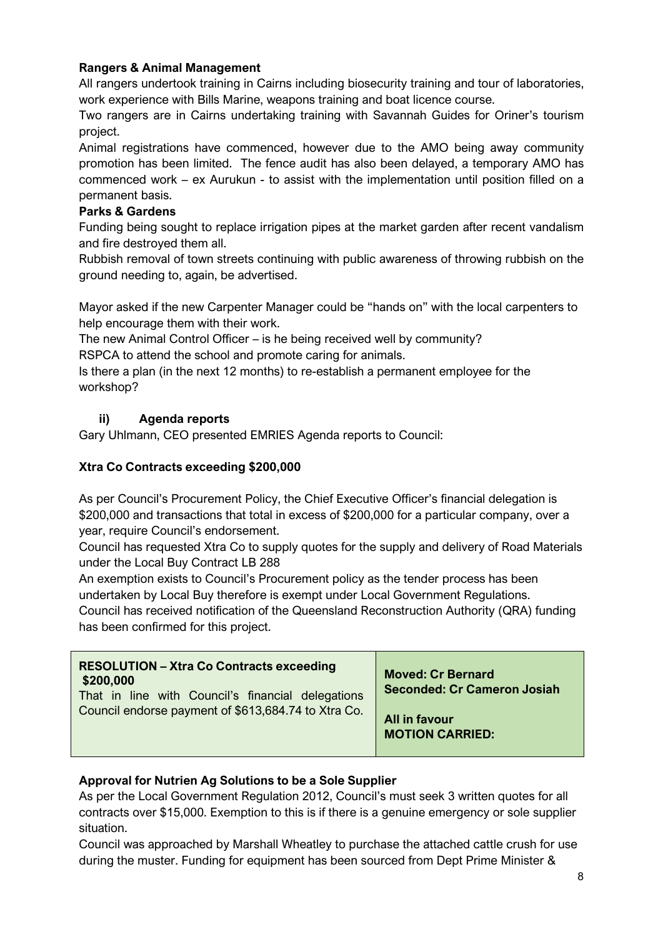# **Rangers & Animal Management**

All rangers undertook training in Cairns including biosecurity training and tour of laboratories, work experience with Bills Marine, weapons training and boat licence course.

Two rangers are in Cairns undertaking training with Savannah Guides for Oriner's tourism project.

Animal registrations have commenced, however due to the AMO being away community promotion has been limited. The fence audit has also been delayed, a temporary AMO has commenced work – ex Aurukun - to assist with the implementation until position filled on a permanent basis.

#### **Parks & Gardens**

Funding being sought to replace irrigation pipes at the market garden after recent vandalism and fire destroyed them all.

Rubbish removal of town streets continuing with public awareness of throwing rubbish on the ground needing to, again, be advertised.

Mayor asked if the new Carpenter Manager could be "hands on" with the local carpenters to help encourage them with their work.

The new Animal Control Officer – is he being received well by community?

RSPCA to attend the school and promote caring for animals.

Is there a plan (in the next 12 months) to re-establish a permanent employee for the workshop?

# **ii) Agenda reports**

Gary Uhlmann, CEO presented EMRIES Agenda reports to Council:

## **Xtra Co Contracts exceeding \$200,000**

As per Council's Procurement Policy, the Chief Executive Officer's financial delegation is \$200,000 and transactions that total in excess of \$200,000 for a particular company, over a year, require Council's endorsement.

Council has requested Xtra Co to supply quotes for the supply and delivery of Road Materials under the Local Buy Contract LB 288

An exemption exists to Council's Procurement policy as the tender process has been undertaken by Local Buy therefore is exempt under Local Government Regulations. Council has received notification of the Queensland Reconstruction Authority (QRA) funding has been confirmed for this project.

| <b>RESOLUTION - Xtra Co Contracts exceeding</b>     | <b>Moved: Cr Bernard</b>           |
|-----------------------------------------------------|------------------------------------|
| \$200,000                                           | <b>Seconded: Cr Cameron Josiah</b> |
| That in line with Council's financial delegations   | <b>All in favour</b>               |
| Council endorse payment of \$613,684.74 to Xtra Co. | <b>MOTION CARRIED:</b>             |

### **Approval for Nutrien Ag Solutions to be a Sole Supplier**

As per the Local Government Regulation 2012, Council's must seek 3 written quotes for all contracts over \$15,000. Exemption to this is if there is a genuine emergency or sole supplier situation.

Council was approached by Marshall Wheatley to purchase the attached cattle crush for use during the muster. Funding for equipment has been sourced from Dept Prime Minister &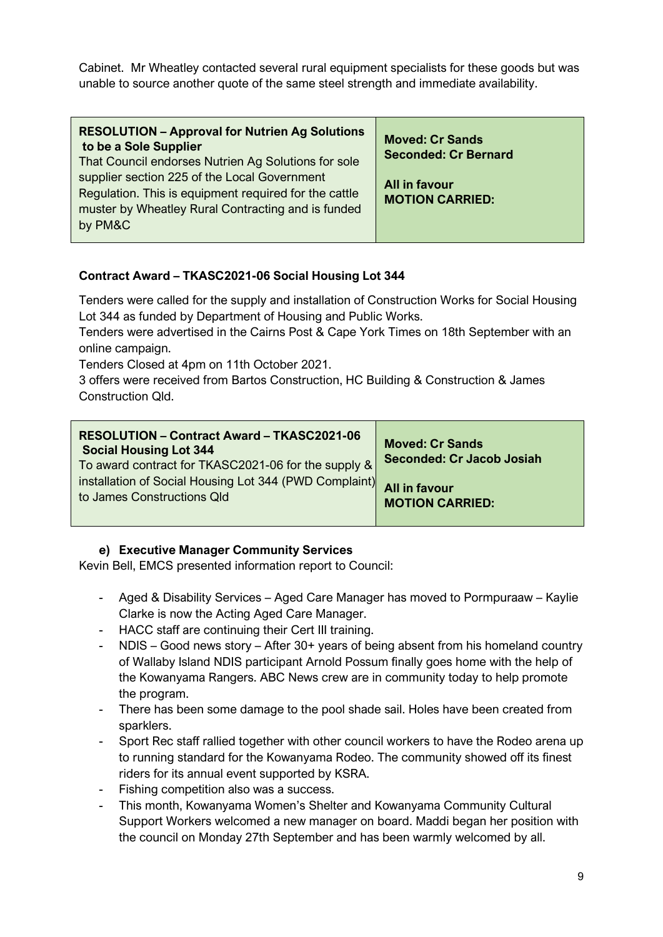Cabinet. Mr Wheatley contacted several rural equipment specialists for these goods but was unable to source another quote of the same steel strength and immediate availability.

| <b>RESOLUTION - Approval for Nutrien Ag Solutions</b><br>to be a Sole Supplier<br>That Council endorses Nutrien Ag Solutions for sole                                  | <b>Moved: Cr Sands</b><br><b>Seconded: Cr Bernard</b> |
|------------------------------------------------------------------------------------------------------------------------------------------------------------------------|-------------------------------------------------------|
| supplier section 225 of the Local Government<br>Regulation. This is equipment required for the cattle<br>muster by Wheatley Rural Contracting and is funded<br>by PM&C | <b>All in favour</b><br><b>MOTION CARRIED:</b>        |

# **Contract Award – TKASC2021-06 Social Housing Lot 344**

Tenders were called for the supply and installation of Construction Works for Social Housing Lot 344 as funded by Department of Housing and Public Works.

Tenders were advertised in the Cairns Post & Cape York Times on 18th September with an online campaign.

Tenders Closed at 4pm on 11th October 2021.

3 offers were received from Bartos Construction, HC Building & Construction & James Construction Qld.

| <b>RESOLUTION - Contract Award - TKASC2021-06</b><br><b>Social Housing Lot 344</b><br>To award contract for TKASC2021-06 for the supply & | <b>Moved: Cr Sands</b><br><b>Seconded: Cr Jacob Josiah</b> |
|-------------------------------------------------------------------------------------------------------------------------------------------|------------------------------------------------------------|
| installation of Social Housing Lot 344 (PWD Complaint)                                                                                    | <b>All in favour</b>                                       |
| to James Constructions Qld                                                                                                                | <b>MOTION CARRIED:</b>                                     |

### **e) Executive Manager Community Services**

Kevin Bell, EMCS presented information report to Council:

- Aged & Disability Services Aged Care Manager has moved to Pormpuraaw Kaylie Clarke is now the Acting Aged Care Manager.
- HACC staff are continuing their Cert III training.
- NDIS Good news story After 30+ years of being absent from his homeland country of Wallaby Island NDIS participant Arnold Possum finally goes home with the help of the Kowanyama Rangers. ABC News crew are in community today to help promote the program.
- There has been some damage to the pool shade sail. Holes have been created from sparklers.
- Sport Rec staff rallied together with other council workers to have the Rodeo arena up to running standard for the Kowanyama Rodeo. The community showed off its finest riders for its annual event supported by KSRA.
- Fishing competition also was a success.
- This month, Kowanyama Women's Shelter and Kowanyama Community Cultural Support Workers welcomed a new manager on board. Maddi began her position with the council on Monday 27th September and has been warmly welcomed by all.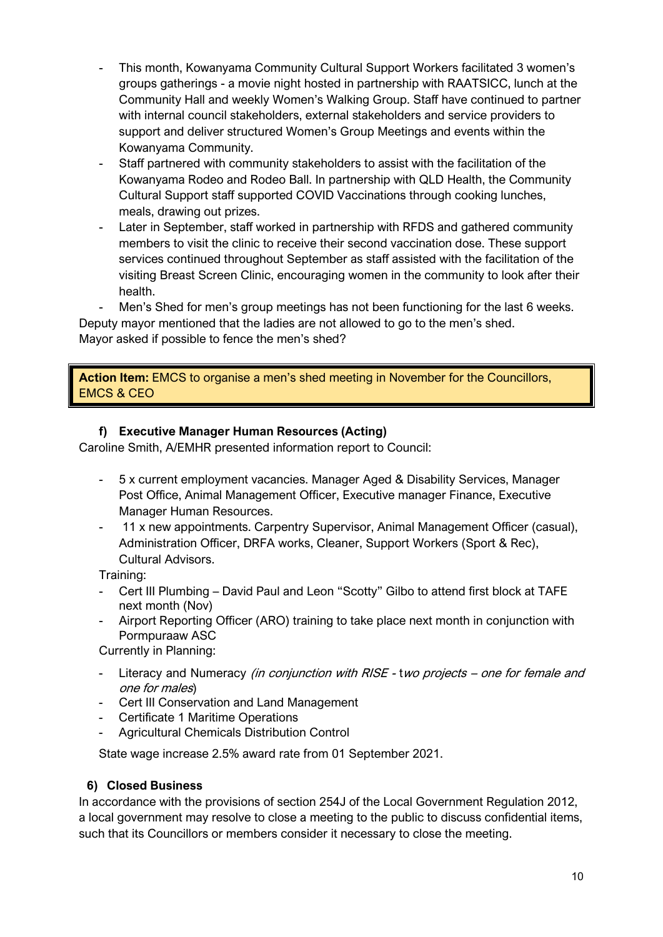- This month, Kowanyama Community Cultural Support Workers facilitated 3 women's groups gatherings - a movie night hosted in partnership with RAATSICC, lunch at the Community Hall and weekly Women's Walking Group. Staff have continued to partner with internal council stakeholders, external stakeholders and service providers to support and deliver structured Women's Group Meetings and events within the Kowanyama Community.
- Staff partnered with community stakeholders to assist with the facilitation of the Kowanyama Rodeo and Rodeo Ball. In partnership with QLD Health, the Community Cultural Support staff supported COVID Vaccinations through cooking lunches, meals, drawing out prizes.
- Later in September, staff worked in partnership with RFDS and gathered community members to visit the clinic to receive their second vaccination dose. These support services continued throughout September as staff assisted with the facilitation of the visiting Breast Screen Clinic, encouraging women in the community to look after their health.
- Men's Shed for men's group meetings has not been functioning for the last 6 weeks.

Deputy mayor mentioned that the ladies are not allowed to go to the men's shed. Mayor asked if possible to fence the men's shed?

**Action Item:** EMCS to organise a men's shed meeting in November for the Councillors, EMCS & CEO

#### **f) Executive Manager Human Resources (Acting)**

Caroline Smith, A/EMHR presented information report to Council:

- 5 x current employment vacancies. Manager Aged & Disability Services, Manager Post Office, Animal Management Officer, Executive manager Finance, Executive Manager Human Resources.
- 11 x new appointments. Carpentry Supervisor, Animal Management Officer (casual), Administration Officer, DRFA works, Cleaner, Support Workers (Sport & Rec), Cultural Advisors.

Training:

- Cert III Plumbing David Paul and Leon "Scotty" Gilbo to attend first block at TAFE next month (Nov)
- Airport Reporting Officer (ARO) training to take place next month in conjunction with Pormpuraaw ASC

Currently in Planning:

- Literacy and Numeracy (in conjunction with RISE two projects one for female and one for males)
- Cert III Conservation and Land Management
- Certificate 1 Maritime Operations
- Agricultural Chemicals Distribution Control

State wage increase 2.5% award rate from 01 September 2021.

#### **6) Closed Business**

In accordance with the provisions of section 254J of the Local Government Regulation 2012, a local government may resolve to close a meeting to the public to discuss confidential items, such that its Councillors or members consider it necessary to close the meeting.